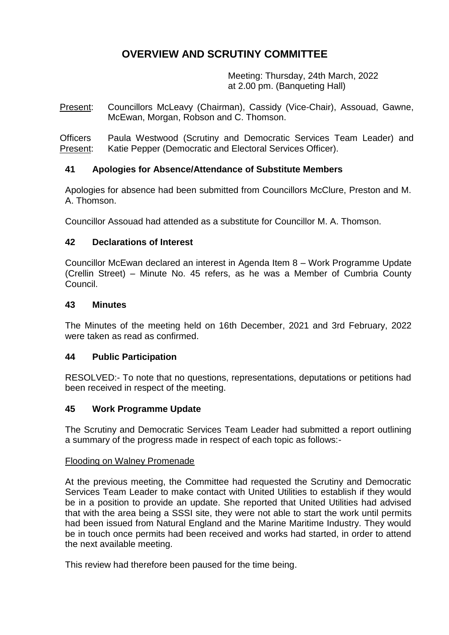# **OVERVIEW AND SCRUTINY COMMITTEE**

Meeting: Thursday, 24th March, 2022 at 2.00 pm. (Banqueting Hall)

Present: Councillors McLeavy (Chairman), Cassidy (Vice-Chair), Assouad, Gawne, McEwan, Morgan, Robson and C. Thomson.

**Officers** Present: Paula Westwood (Scrutiny and Democratic Services Team Leader) and Katie Pepper (Democratic and Electoral Services Officer).

# **41 Apologies for Absence/Attendance of Substitute Members**

Apologies for absence had been submitted from Councillors McClure, Preston and M. A. Thomson.

Councillor Assouad had attended as a substitute for Councillor M. A. Thomson.

# **42 Declarations of Interest**

Councillor McEwan declared an interest in Agenda Item 8 – Work Programme Update (Crellin Street) – Minute No. 45 refers, as he was a Member of Cumbria County Council.

## **43 Minutes**

The Minutes of the meeting held on 16th December, 2021 and 3rd February, 2022 were taken as read as confirmed.

# **44 Public Participation**

RESOLVED:- To note that no questions, representations, deputations or petitions had been received in respect of the meeting.

# **45 Work Programme Update**

The Scrutiny and Democratic Services Team Leader had submitted a report outlining a summary of the progress made in respect of each topic as follows:-

## Flooding on Walney Promenade

At the previous meeting, the Committee had requested the Scrutiny and Democratic Services Team Leader to make contact with United Utilities to establish if they would be in a position to provide an update. She reported that United Utilities had advised that with the area being a SSSI site, they were not able to start the work until permits had been issued from Natural England and the Marine Maritime Industry. They would be in touch once permits had been received and works had started, in order to attend the next available meeting.

This review had therefore been paused for the time being.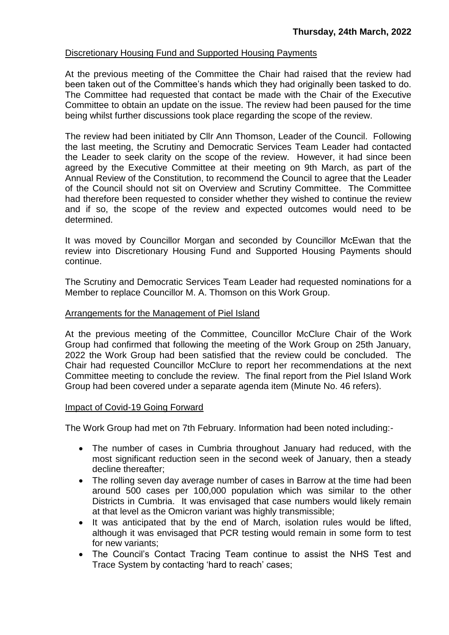#### Discretionary Housing Fund and Supported Housing Payments

At the previous meeting of the Committee the Chair had raised that the review had been taken out of the Committee's hands which they had originally been tasked to do. The Committee had requested that contact be made with the Chair of the Executive Committee to obtain an update on the issue. The review had been paused for the time being whilst further discussions took place regarding the scope of the review.

The review had been initiated by Cllr Ann Thomson, Leader of the Council. Following the last meeting, the Scrutiny and Democratic Services Team Leader had contacted the Leader to seek clarity on the scope of the review. However, it had since been agreed by the Executive Committee at their meeting on 9th March, as part of the Annual Review of the Constitution, to recommend the Council to agree that the Leader of the Council should not sit on Overview and Scrutiny Committee. The Committee had therefore been requested to consider whether they wished to continue the review and if so, the scope of the review and expected outcomes would need to be determined.

It was moved by Councillor Morgan and seconded by Councillor McEwan that the review into Discretionary Housing Fund and Supported Housing Payments should continue.

The Scrutiny and Democratic Services Team Leader had requested nominations for a Member to replace Councillor M. A. Thomson on this Work Group.

#### Arrangements for the Management of Piel Island

At the previous meeting of the Committee, Councillor McClure Chair of the Work Group had confirmed that following the meeting of the Work Group on 25th January, 2022 the Work Group had been satisfied that the review could be concluded. The Chair had requested Councillor McClure to report her recommendations at the next Committee meeting to conclude the review. The final report from the Piel Island Work Group had been covered under a separate agenda item (Minute No. 46 refers).

#### Impact of Covid-19 Going Forward

The Work Group had met on 7th February. Information had been noted including:-

- The number of cases in Cumbria throughout January had reduced, with the most significant reduction seen in the second week of January, then a steady decline thereafter;
- The rolling seven day average number of cases in Barrow at the time had been around 500 cases per 100,000 population which was similar to the other Districts in Cumbria. It was envisaged that case numbers would likely remain at that level as the Omicron variant was highly transmissible;
- It was anticipated that by the end of March, isolation rules would be lifted, although it was envisaged that PCR testing would remain in some form to test for new variants;
- The Council's Contact Tracing Team continue to assist the NHS Test and Trace System by contacting 'hard to reach' cases;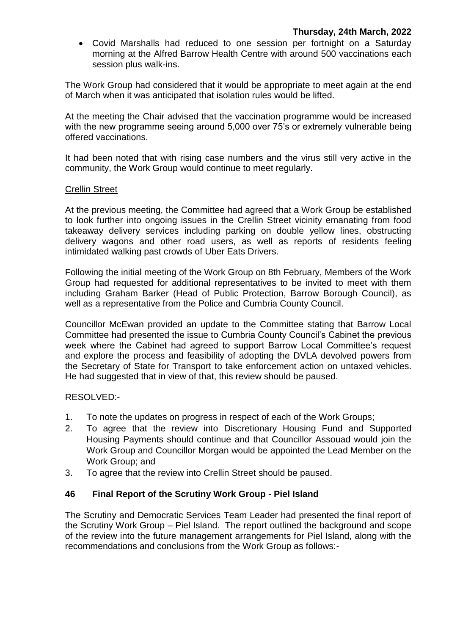Covid Marshalls had reduced to one session per fortnight on a Saturday morning at the Alfred Barrow Health Centre with around 500 vaccinations each session plus walk-ins.

The Work Group had considered that it would be appropriate to meet again at the end of March when it was anticipated that isolation rules would be lifted.

At the meeting the Chair advised that the vaccination programme would be increased with the new programme seeing around 5,000 over 75's or extremely vulnerable being offered vaccinations.

It had been noted that with rising case numbers and the virus still very active in the community, the Work Group would continue to meet regularly.

#### Crellin Street

At the previous meeting, the Committee had agreed that a Work Group be established to look further into ongoing issues in the Crellin Street vicinity emanating from food takeaway delivery services including parking on double yellow lines, obstructing delivery wagons and other road users, as well as reports of residents feeling intimidated walking past crowds of Uber Eats Drivers.

Following the initial meeting of the Work Group on 8th February, Members of the Work Group had requested for additional representatives to be invited to meet with them including Graham Barker (Head of Public Protection, Barrow Borough Council), as well as a representative from the Police and Cumbria County Council.

Councillor McEwan provided an update to the Committee stating that Barrow Local Committee had presented the issue to Cumbria County Council's Cabinet the previous week where the Cabinet had agreed to support Barrow Local Committee's request and explore the process and feasibility of adopting the DVLA devolved powers from the Secretary of State for Transport to take enforcement action on untaxed vehicles. He had suggested that in view of that, this review should be paused.

RESOLVED:-

- 1. To note the updates on progress in respect of each of the Work Groups;
- 2. To agree that the review into Discretionary Housing Fund and Supported Housing Payments should continue and that Councillor Assouad would join the Work Group and Councillor Morgan would be appointed the Lead Member on the Work Group; and
- 3. To agree that the review into Crellin Street should be paused.

## **46 Final Report of the Scrutiny Work Group - Piel Island**

The Scrutiny and Democratic Services Team Leader had presented the final report of the Scrutiny Work Group – Piel Island. The report outlined the background and scope of the review into the future management arrangements for Piel Island, along with the recommendations and conclusions from the Work Group as follows:-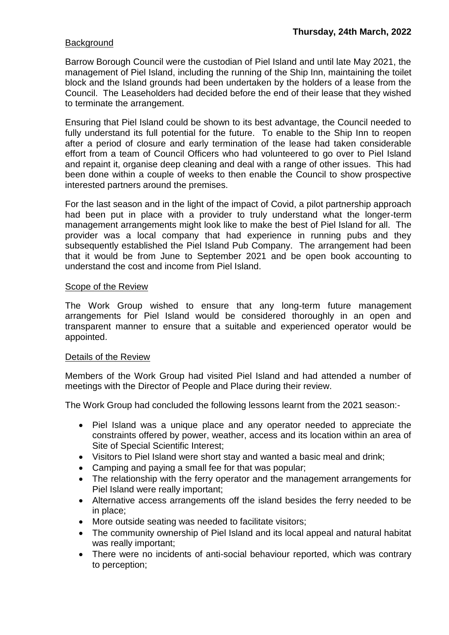## **Background**

Barrow Borough Council were the custodian of Piel Island and until late May 2021, the management of Piel Island, including the running of the Ship Inn, maintaining the toilet block and the Island grounds had been undertaken by the holders of a lease from the Council. The Leaseholders had decided before the end of their lease that they wished to terminate the arrangement.

Ensuring that Piel Island could be shown to its best advantage, the Council needed to fully understand its full potential for the future. To enable to the Ship Inn to reopen after a period of closure and early termination of the lease had taken considerable effort from a team of Council Officers who had volunteered to go over to Piel Island and repaint it, organise deep cleaning and deal with a range of other issues. This had been done within a couple of weeks to then enable the Council to show prospective interested partners around the premises.

For the last season and in the light of the impact of Covid, a pilot partnership approach had been put in place with a provider to truly understand what the longer-term management arrangements might look like to make the best of Piel Island for all. The provider was a local company that had experience in running pubs and they subsequently established the Piel Island Pub Company. The arrangement had been that it would be from June to September 2021 and be open book accounting to understand the cost and income from Piel Island.

## Scope of the Review

The Work Group wished to ensure that any long-term future management arrangements for Piel Island would be considered thoroughly in an open and transparent manner to ensure that a suitable and experienced operator would be appointed.

## Details of the Review

Members of the Work Group had visited Piel Island and had attended a number of meetings with the Director of People and Place during their review.

The Work Group had concluded the following lessons learnt from the 2021 season:-

- Piel Island was a unique place and any operator needed to appreciate the constraints offered by power, weather, access and its location within an area of Site of Special Scientific Interest;
- Visitors to Piel Island were short stay and wanted a basic meal and drink;
- Camping and paying a small fee for that was popular;
- The relationship with the ferry operator and the management arrangements for Piel Island were really important;
- Alternative access arrangements off the island besides the ferry needed to be in place;
- More outside seating was needed to facilitate visitors;
- The community ownership of Piel Island and its local appeal and natural habitat was really important;
- There were no incidents of anti-social behaviour reported, which was contrary to perception;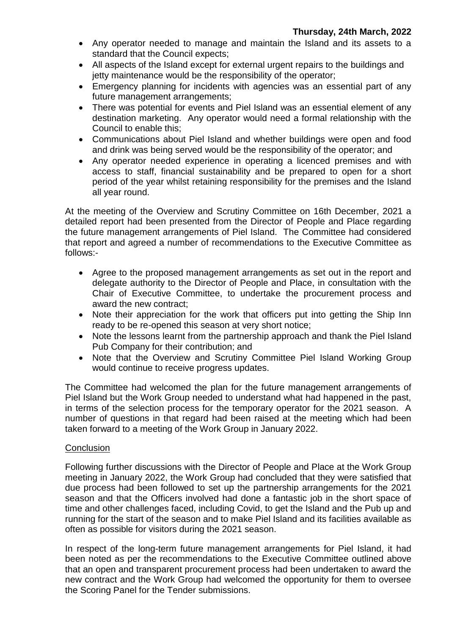- Any operator needed to manage and maintain the Island and its assets to a standard that the Council expects;
- All aspects of the Island except for external urgent repairs to the buildings and jetty maintenance would be the responsibility of the operator;
- Emergency planning for incidents with agencies was an essential part of any future management arrangements;
- There was potential for events and Piel Island was an essential element of any destination marketing. Any operator would need a formal relationship with the Council to enable this;
- Communications about Piel Island and whether buildings were open and food and drink was being served would be the responsibility of the operator; and
- Any operator needed experience in operating a licenced premises and with access to staff, financial sustainability and be prepared to open for a short period of the year whilst retaining responsibility for the premises and the Island all year round.

At the meeting of the Overview and Scrutiny Committee on 16th December, 2021 a detailed report had been presented from the Director of People and Place regarding the future management arrangements of Piel Island. The Committee had considered that report and agreed a number of recommendations to the Executive Committee as follows:-

- Agree to the proposed management arrangements as set out in the report and delegate authority to the Director of People and Place, in consultation with the Chair of Executive Committee, to undertake the procurement process and award the new contract;
- Note their appreciation for the work that officers put into getting the Ship Inn ready to be re-opened this season at very short notice;
- Note the lessons learnt from the partnership approach and thank the Piel Island Pub Company for their contribution; and
- Note that the Overview and Scrutiny Committee Piel Island Working Group would continue to receive progress updates.

The Committee had welcomed the plan for the future management arrangements of Piel Island but the Work Group needed to understand what had happened in the past, in terms of the selection process for the temporary operator for the 2021 season. A number of questions in that regard had been raised at the meeting which had been taken forward to a meeting of the Work Group in January 2022.

# **Conclusion**

Following further discussions with the Director of People and Place at the Work Group meeting in January 2022, the Work Group had concluded that they were satisfied that due process had been followed to set up the partnership arrangements for the 2021 season and that the Officers involved had done a fantastic job in the short space of time and other challenges faced, including Covid, to get the Island and the Pub up and running for the start of the season and to make Piel Island and its facilities available as often as possible for visitors during the 2021 season.

In respect of the long-term future management arrangements for Piel Island, it had been noted as per the recommendations to the Executive Committee outlined above that an open and transparent procurement process had been undertaken to award the new contract and the Work Group had welcomed the opportunity for them to oversee the Scoring Panel for the Tender submissions.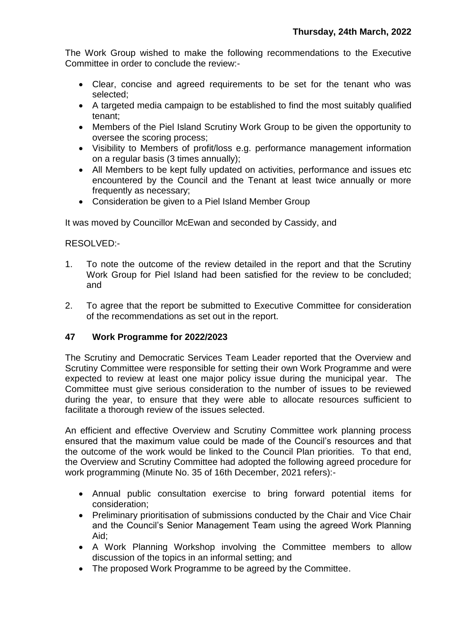The Work Group wished to make the following recommendations to the Executive Committee in order to conclude the review:-

- Clear, concise and agreed requirements to be set for the tenant who was selected;
- A targeted media campaign to be established to find the most suitably qualified tenant;
- Members of the Piel Island Scrutiny Work Group to be given the opportunity to oversee the scoring process;
- Visibility to Members of profit/loss e.g. performance management information on a regular basis (3 times annually);
- All Members to be kept fully updated on activities, performance and issues etc encountered by the Council and the Tenant at least twice annually or more frequently as necessary;
- Consideration be given to a Piel Island Member Group

It was moved by Councillor McEwan and seconded by Cassidy, and

## RESOLVED:-

- 1. To note the outcome of the review detailed in the report and that the Scrutiny Work Group for Piel Island had been satisfied for the review to be concluded; and
- 2. To agree that the report be submitted to Executive Committee for consideration of the recommendations as set out in the report.

## **47 Work Programme for 2022/2023**

The Scrutiny and Democratic Services Team Leader reported that the Overview and Scrutiny Committee were responsible for setting their own Work Programme and were expected to review at least one major policy issue during the municipal year. The Committee must give serious consideration to the number of issues to be reviewed during the year, to ensure that they were able to allocate resources sufficient to facilitate a thorough review of the issues selected.

An efficient and effective Overview and Scrutiny Committee work planning process ensured that the maximum value could be made of the Council's resources and that the outcome of the work would be linked to the Council Plan priorities. To that end, the Overview and Scrutiny Committee had adopted the following agreed procedure for work programming (Minute No. 35 of 16th December, 2021 refers):-

- Annual public consultation exercise to bring forward potential items for consideration;
- Preliminary prioritisation of submissions conducted by the Chair and Vice Chair and the Council's Senior Management Team using the agreed Work Planning Aid;
- A Work Planning Workshop involving the Committee members to allow discussion of the topics in an informal setting; and
- The proposed Work Programme to be agreed by the Committee.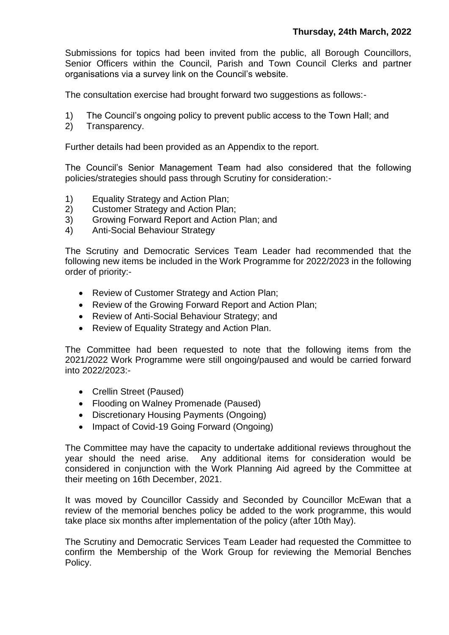Submissions for topics had been invited from the public, all Borough Councillors, Senior Officers within the Council, Parish and Town Council Clerks and partner organisations via a survey link on the Council's website.

The consultation exercise had brought forward two suggestions as follows:-

- 1) The Council's ongoing policy to prevent public access to the Town Hall; and
- 2) Transparency.

Further details had been provided as an Appendix to the report.

The Council's Senior Management Team had also considered that the following policies/strategies should pass through Scrutiny for consideration:-

- 1) Equality Strategy and Action Plan;
- 2) Customer Strategy and Action Plan;
- 3) Growing Forward Report and Action Plan; and
- 4) Anti-Social Behaviour Strategy

The Scrutiny and Democratic Services Team Leader had recommended that the following new items be included in the Work Programme for 2022/2023 in the following order of priority:-

- Review of Customer Strategy and Action Plan;
- Review of the Growing Forward Report and Action Plan;
- Review of Anti-Social Behaviour Strategy; and
- Review of Equality Strategy and Action Plan.

The Committee had been requested to note that the following items from the 2021/2022 Work Programme were still ongoing/paused and would be carried forward into 2022/2023:-

- Crellin Street (Paused)
- Flooding on Walney Promenade (Paused)
- Discretionary Housing Payments (Ongoing)
- Impact of Covid-19 Going Forward (Ongoing)

The Committee may have the capacity to undertake additional reviews throughout the year should the need arise. Any additional items for consideration would be considered in conjunction with the Work Planning Aid agreed by the Committee at their meeting on 16th December, 2021.

It was moved by Councillor Cassidy and Seconded by Councillor McEwan that a review of the memorial benches policy be added to the work programme, this would take place six months after implementation of the policy (after 10th May).

The Scrutiny and Democratic Services Team Leader had requested the Committee to confirm the Membership of the Work Group for reviewing the Memorial Benches Policy.